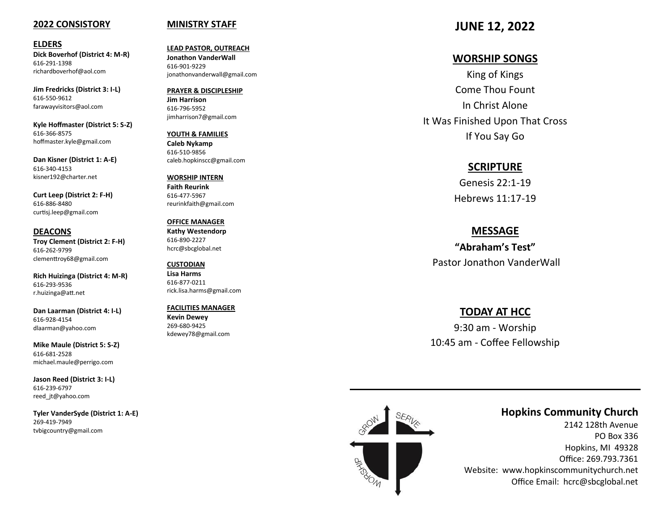#### **2022 CONSISTORY**

#### **ELDERS**

**Dick Boverhof (District 4: M -R)** 616 -291 -1398 richardboverhof@aol.com

**Jim Fredricks (District 3: I -L)** 616 -550 -9612 farawayvisitors@aol.com

**Kyle Hoffmaster (District 5: S -Z)** 616 -366 -8575 hoffmaster.kyle@gmail.com

**Dan Kisner (District 1: A -E)** 616 -340 -4153 kisner192@charter.net

**Curt Leep (District 2: F -H)** 616 -886 -8480 curtisj.leep@gmail.com

**DEACONS Troy Clement (District 2: F -H)** 616 -262 -9799 clementtroy68@gmail.com

**Rich Huizinga (District 4: M -R)** 616 -293 -9536 r.huizinga@att.net

**Dan Laarman (District 4: I -L)** 616 -928 -4154 dlaarman@yahoo.com

**Mike Maule (District 5: S -Z)** 616 -681 -2528 michael.maule@perrigo.com

**Jason Reed (District 3: I -L)** 616 -239 -6797 reed\_jt@yahoo.com

**Tyler VanderSyde (District 1: A -E)** 269 -419 -7949 tvbigcountry@gmail.com

#### **MINISTRY STAFF**

**LEAD PASTOR, OUTREACH Jonathon VanderWall**  616 -901 -9229 jonathonvanderwall@gmail.com

**PRAYER & DISCIPLESHIP Jim Harrison** 616 -796 -5952 jimharrison7@gmail.com

**YOUTH & FAMILIES Caleb Nykamp** 616 -510 -9856 caleb.hopkinscc@gmail.com

**WORSHIP INTERN Faith Reurink** 616 -477 -5967 reurinkfaith@gmail.com

**OFFICE MANAGER Kathy Westendorp** 616 -890 -2227 hcrc@sbcglobal.net

**CUSTODIAN Lisa Harms** 616 -877 -0211 rick.lisa.harms@gmail.com

**FACILITIES MANAGER Kevin Dewey** 269 -680 -9425 kdewey78@gmail.com

# **JUNE 12, 2022**

# **WORSHIP SONGS**

King of Kings Come Thou Fount In Christ Alone It Was Finished Upon That Cross If You Say Go

# **SCRIPTURE**

Genesis 22:1 -19 Hebrews 11:17 -19

### **MESSAGE**

**"Abraham 's Test"**  Pastor Jonathon VanderWall

# **TODAY AT HCC**

9:30 am - Worship 10:45 am - Coffee Fellowship



# **Hopkins Community Church**

2142 128th Avenue PO Box 336 Hopkins, MI 49328 Office: 269.793.7361 Website: www.hopkinscommunitychurch.net Office Email: hcrc@sbcglobal.net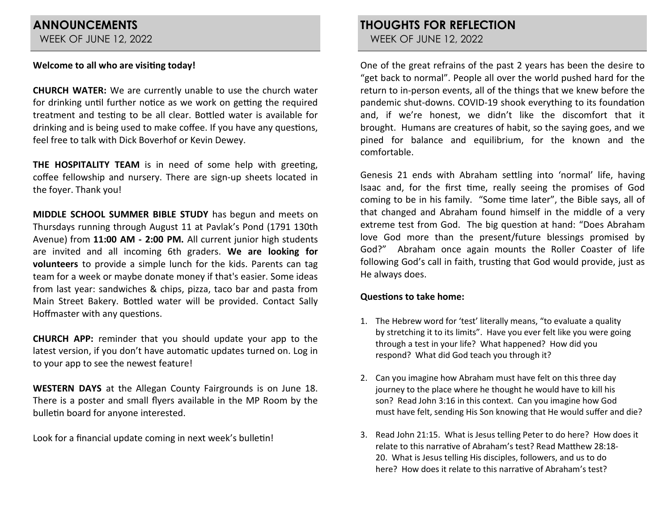# **ANNOUNCEMENTS** WEEK OF JUNE 12, 2022

# **Welcome to all who are visiting today!**

**CHURCH WATER:** We are currently unable to use the church water for drinking until further notice as we work on getting the required treatment and testing to be all clear. Bottled water is available for drinking and is being used to make coffee. If you have any questions, feel free to talk with Dick Boverhof or Kevin Dewey.

**THE HOSPITALITY TEAM** is in need of some help with greeting, coffee fellowship and nursery. There are sign-up sheets located in the foyer. Thank you!

**MIDDLE SCHOOL SUMMER BIBLE STUDY** has begun and meets on Thursdays running through August 11 at Pavlak's Pond (1791 130th Avenue) from **11:00 AM - 2:00 PM.** All current junior high students are invited and all incoming 6th graders. **We are looking for volunteers** to provide a simple lunch for the kids. Parents can tag team for a week or maybe donate money if that's easier. Some ideas from last year: sandwiches & chips, pizza, taco bar and pasta from Main Street Bakery. Bottled water will be provided. Contact Sally Hoffmaster with any questions.

**CHURCH APP:** reminder that you should update your app to the latest version, if you don't have automatic updates turned on. Log in to your app to see the newest feature!

**WESTERN DAYS** at the Allegan County Fairgrounds is on June 18. There is a poster and small flyers available in the MP Room by the bulletin board for anyone interested.

Look for a financial update coming in next week's bulletin!

**THOUGHTS FOR REFLECTION** WEEK OF JUNE 12, 2022

One of the great refrains of the past 2 years has been the desire to "get back to normal". People all over the world pushed hard for the return to in-person events, all of the things that we knew before the pandemic shut-downs. COVID-19 shook everything to its foundation and, if we're honest, we didn't like the discomfort that it brought. Humans are creatures of habit, so the saying goes, and we pined for balance and equilibrium, for the known and the comfortable.

Genesis 21 ends with Abraham settling into 'normal' life, having Isaac and, for the first time, really seeing the promises of God coming to be in his family. "Some time later", the Bible says, all of that changed and Abraham found himself in the middle of a very extreme test from God. The big question at hand: "Does Abraham love God more than the present/future blessings promised by God?" Abraham once again mounts the Roller Coaster of life following God's call in faith, trusting that God would provide, just as He always does.

## **Questions to take home:**

- 1. The Hebrew word for 'test' literally means, "to evaluate a quality by stretching it to its limits". Have you ever felt like you were going through a test in your life? What happened? How did you respond? What did God teach you through it?
- 2. Can you imagine how Abraham must have felt on this three day journey to the place where he thought he would have to kill his son? Read John 3:16 in this context. Can you imagine how God must have felt, sending His Son knowing that He would suffer and die?
- 3. Read John 21:15. What is Jesus telling Peter to do here? How does it relate to this narrative of Abraham's test? Read Matthew 28:18- 20. What is Jesus telling His disciples, followers, and us to do here? How does it relate to this narrative of Abraham's test?